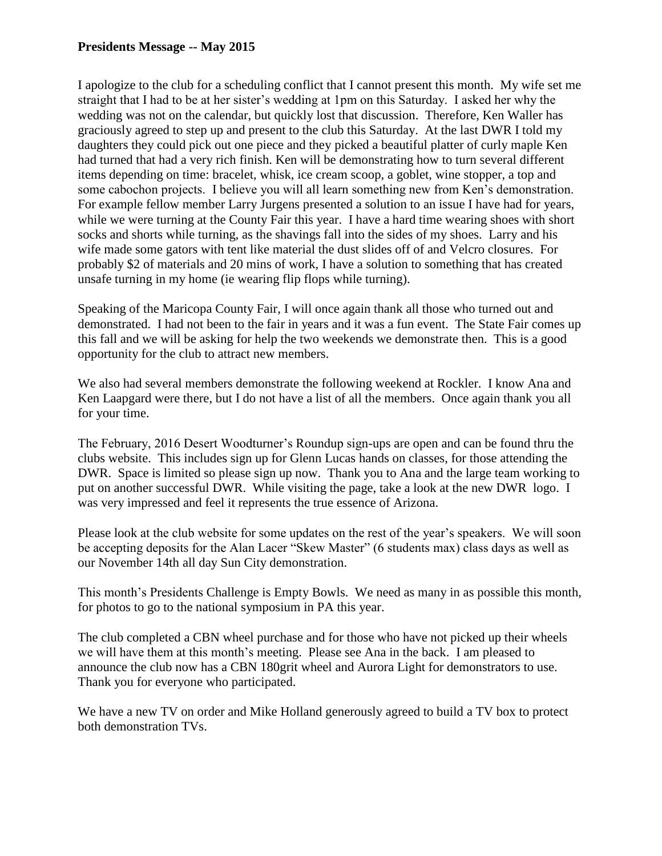## **Presidents Message -- May 2015**

I apologize to the club for a scheduling conflict that I cannot present this month. My wife set me straight that I had to be at her sister's wedding at 1pm on this Saturday. I asked her why the wedding was not on the calendar, but quickly lost that discussion. Therefore, Ken Waller has graciously agreed to step up and present to the club this Saturday. At the last DWR I told my daughters they could pick out one piece and they picked a beautiful platter of curly maple Ken had turned that had a very rich finish. Ken will be demonstrating how to turn several different items depending on time: bracelet, whisk, ice cream scoop, a goblet, wine stopper, a top and some cabochon projects. I believe you will all learn something new from Ken's demonstration. For example fellow member Larry Jurgens presented a solution to an issue I have had for years, while we were turning at the County Fair this year. I have a hard time wearing shoes with short socks and shorts while turning, as the shavings fall into the sides of my shoes. Larry and his wife made some gators with tent like material the dust slides off of and Velcro closures. For probably \$2 of materials and 20 mins of work, I have a solution to something that has created unsafe turning in my home (ie wearing flip flops while turning).

Speaking of the Maricopa County Fair, I will once again thank all those who turned out and demonstrated. I had not been to the fair in years and it was a fun event. The State Fair comes up this fall and we will be asking for help the two weekends we demonstrate then. This is a good opportunity for the club to attract new members.

We also had several members demonstrate the following weekend at Rockler. I know Ana and Ken Laapgard were there, but I do not have a list of all the members. Once again thank you all for your time.

The February, 2016 Desert Woodturner's Roundup sign-ups are open and can be found thru the clubs website. This includes sign up for Glenn Lucas hands on classes, for those attending the DWR. Space is limited so please sign up now. Thank you to Ana and the large team working to put on another successful DWR. While visiting the page, take a look at the new DWR logo. I was very impressed and feel it represents the true essence of Arizona.

Please look at the club website for some updates on the rest of the year's speakers. We will soon be accepting deposits for the Alan Lacer "Skew Master" (6 students max) class days as well as our November 14th all day Sun City demonstration.

This month's Presidents Challenge is Empty Bowls. We need as many in as possible this month, for photos to go to the national symposium in PA this year.

The club completed a CBN wheel purchase and for those who have not picked up their wheels we will have them at this month's meeting. Please see Ana in the back. I am pleased to announce the club now has a CBN 180grit wheel and Aurora Light for demonstrators to use. Thank you for everyone who participated.

We have a new TV on order and Mike Holland generously agreed to build a TV box to protect both demonstration TVs.